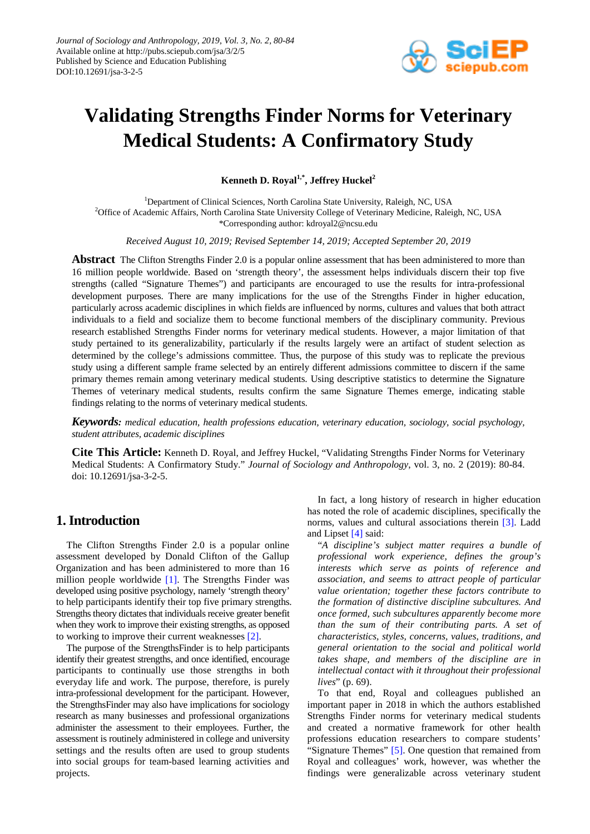

# **Validating Strengths Finder Norms for Veterinary Medical Students: A Confirmatory Study**

Kenneth D. Royal<sup>1,\*</sup>, Jeffrey Huckel<sup>2</sup>

<sup>1</sup>Department of Clinical Sciences, North Carolina State University, Raleigh, NC, USA 2 Office of Academic Affairs, North Carolina State University College of Veterinary Medicine, Raleigh, NC, USA \*Corresponding author: kdroyal2@ncsu.edu

*Received August 10, 2019; Revised September 14, 2019; Accepted September 20, 2019*

**Abstract** The Clifton Strengths Finder 2.0 is a popular online assessment that has been administered to more than 16 million people worldwide. Based on 'strength theory', the assessment helps individuals discern their top five strengths (called "Signature Themes") and participants are encouraged to use the results for intra-professional development purposes. There are many implications for the use of the Strengths Finder in higher education, particularly across academic disciplines in which fields are influenced by norms, cultures and values that both attract individuals to a field and socialize them to become functional members of the disciplinary community. Previous research established Strengths Finder norms for veterinary medical students. However, a major limitation of that study pertained to its generalizability, particularly if the results largely were an artifact of student selection as determined by the college's admissions committee. Thus, the purpose of this study was to replicate the previous study using a different sample frame selected by an entirely different admissions committee to discern if the same primary themes remain among veterinary medical students. Using descriptive statistics to determine the Signature Themes of veterinary medical students, results confirm the same Signature Themes emerge, indicating stable findings relating to the norms of veterinary medical students.

*Keywords: medical education, health professions education, veterinary education, sociology, social psychology, student attributes, academic disciplines*

**Cite This Article:** Kenneth D. Royal, and Jeffrey Huckel, "Validating Strengths Finder Norms for Veterinary Medical Students: A Confirmatory Study." *Journal of Sociology and Anthropology*, vol. 3, no. 2 (2019): 80-84. doi: 10.12691/jsa-3-2-5.

# **1. Introduction**

The Clifton Strengths Finder 2.0 is a popular online assessment developed by Donald Clifton of the Gallup Organization and has been administered to more than 16 million people worldwide [\[1\].](#page-3-0) The Strengths Finder was developed using positive psychology, namely 'strength theory' to help participants identify their top five primary strengths. Strengths theory dictates that individuals receive greater benefit when they work to improve their existing strengths, as opposed to working to improve their current weaknesses [\[2\].](#page-3-1)

The purpose of the StrengthsFinder is to help participants identify their greatest strengths, and once identified, encourage participants to continually use those strengths in both everyday life and work. The purpose, therefore, is purely intra-professional development for the participant. However, the StrengthsFinder may also have implications for sociology research as many businesses and professional organizations administer the assessment to their employees. Further, the assessment is routinely administered in college and university settings and the results often are used to group students into social groups for team-based learning activities and projects.

In fact, a long history of research in higher education has noted the role of academic disciplines, specifically the norms, values and cultural associations therein [\[3\].](#page-3-2) Ladd and Lipset [\[4\]](#page-3-3) said:

"*A discipline's subject matter requires a bundle of professional work experience, defines the group's interests which serve as points of reference and association, and seems to attract people of particular value orientation; together these factors contribute to the formation of distinctive discipline subcultures. And once formed, such subcultures apparently become more than the sum of their contributing parts. A set of characteristics, styles, concerns, values, traditions, and general orientation to the social and political world takes shape, and members of the discipline are in intellectual contact with it throughout their professional lives*" (p. 69).

To that end, Royal and colleagues published an important paper in 2018 in which the authors established Strengths Finder norms for veterinary medical students and created a normative framework for other health professions education researchers to compare students' "Signature Themes" [\[5\].](#page-3-4) One question that remained from Royal and colleagues' work, however, was whether the findings were generalizable across veterinary student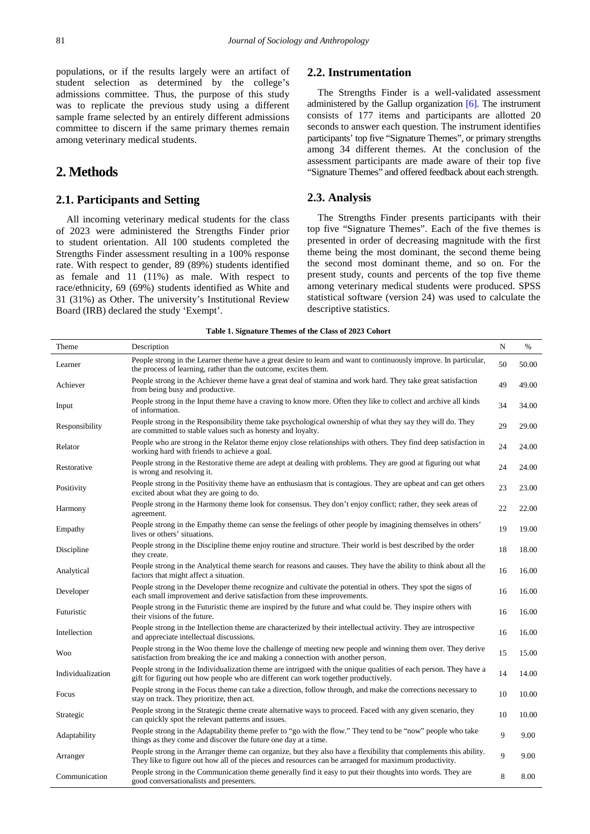populations, or if the results largely were an artifact of student selection as determined by the college's admissions committee. Thus, the purpose of this study was to replicate the previous study using a different sample frame selected by an entirely different admissions committee to discern if the same primary themes remain among veterinary medical students.

# **2. Methods**

## **2.1. Participants and Setting**

All incoming veterinary medical students for the class of 2023 were administered the Strengths Finder prior to student orientation. All 100 students completed the Strengths Finder assessment resulting in a 100% response rate. With respect to gender, 89 (89%) students identified as female and 11 (11%) as male. With respect to race/ethnicity, 69 (69%) students identified as White and 31 (31%) as Other. The university's Institutional Review Board (IRB) declared the study 'Exempt'.

### **2.2. Instrumentation**

The Strengths Finder is a well-validated assessment administered by the Gallup organization [\[6\].](#page-4-0) The instrument consists of 177 items and participants are allotted 20 seconds to answer each question. The instrument identifies participants' top five "Signature Themes", or primary strengths among 34 different themes. At the conclusion of the assessment participants are made aware of their top five "Signature Themes" and offered feedback about each strength.

#### **2.3. Analysis**

The Strengths Finder presents participants with their top five "Signature Themes". Each of the five themes is presented in order of decreasing magnitude with the first theme being the most dominant, the second theme being the second most dominant theme, and so on. For the present study, counts and percents of the top five theme among veterinary medical students were produced. SPSS statistical software (version 24) was used to calculate the descriptive statistics.

#### **Table 1. Signature Themes of the Class of 2023 Cohort**

<span id="page-1-0"></span>

| Theme             | Description                                                                                                                                                                                                                | N  | $\%$  |
|-------------------|----------------------------------------------------------------------------------------------------------------------------------------------------------------------------------------------------------------------------|----|-------|
| Learner           | People strong in the Learner theme have a great desire to learn and want to continuously improve. In particular,<br>the process of learning, rather than the outcome, excites them.                                        | 50 | 50.00 |
| Achiever          | People strong in the Achiever theme have a great deal of stamina and work hard. They take great satisfaction<br>from being busy and productive.                                                                            | 49 | 49.00 |
| Input             | People strong in the Input theme have a craving to know more. Often they like to collect and archive all kinds<br>of information.                                                                                          | 34 | 34.00 |
| Responsibility    | People strong in the Responsibility theme take psychological ownership of what they say they will do. They<br>are committed to stable values such as honesty and loyalty.                                                  | 29 | 29.00 |
| Relator           | People who are strong in the Relator theme enjoy close relationships with others. They find deep satisfaction in<br>working hard with friends to achieve a goal.                                                           | 24 | 24.00 |
| Restorative       | People strong in the Restorative theme are adept at dealing with problems. They are good at figuring out what<br>is wrong and resolving it.                                                                                | 24 | 24.00 |
| Positivity        | People strong in the Positivity theme have an enthusiasm that is contagious. They are upbeat and can get others<br>excited about what they are going to do.                                                                | 23 | 23.00 |
| Harmony           | People strong in the Harmony theme look for consensus. They don't enjoy conflict; rather, they seek areas of<br>agreement.                                                                                                 | 22 | 22.00 |
| Empathy           | People strong in the Empathy theme can sense the feelings of other people by imagining themselves in others'<br>lives or others' situations.                                                                               | 19 | 19.00 |
| Discipline        | People strong in the Discipline theme enjoy routine and structure. Their world is best described by the order<br>they create.                                                                                              | 18 | 18.00 |
| Analytical        | People strong in the Analytical theme search for reasons and causes. They have the ability to think about all the<br>factors that might affect a situation.                                                                | 16 | 16.00 |
| Developer         | People strong in the Developer theme recognize and cultivate the potential in others. They spot the signs of<br>each small improvement and derive satisfaction from these improvements.                                    | 16 | 16.00 |
| Futuristic        | People strong in the Futuristic theme are inspired by the future and what could be. They inspire others with<br>their visions of the future.                                                                               | 16 | 16.00 |
| Intellection      | People strong in the Intellection theme are characterized by their intellectual activity. They are introspective<br>and appreciate intellectual discussions.                                                               | 16 | 16.00 |
| <b>Woo</b>        | People strong in the Woo theme love the challenge of meeting new people and winning them over. They derive<br>satisfaction from breaking the ice and making a connection with another person.                              | 15 | 15.00 |
| Individualization | People strong in the Individualization theme are intrigued with the unique qualities of each person. They have a<br>gift for figuring out how people who are different can work together productively.                     | 14 | 14.00 |
| Focus             | People strong in the Focus theme can take a direction, follow through, and make the corrections necessary to<br>stay on track. They prioritize, then act.                                                                  | 10 | 10.00 |
| Strategic         | People strong in the Strategic theme create alternative ways to proceed. Faced with any given scenario, they<br>can quickly spot the relevant patterns and issues.                                                         | 10 | 10.00 |
| Adaptability      | People strong in the Adaptability theme prefer to "go with the flow." They tend to be "now" people who take<br>things as they come and discover the future one day at a time.                                              | 9  | 9.00  |
| Arranger          | People strong in the Arranger theme can organize, but they also have a flexibility that complements this ability.<br>They like to figure out how all of the pieces and resources can be arranged for maximum productivity. | 9  | 9.00  |
| Communication     | People strong in the Communication theme generally find it easy to put their thoughts into words. They are<br>good conversationalists and presenters.                                                                      | 8  | 8.00  |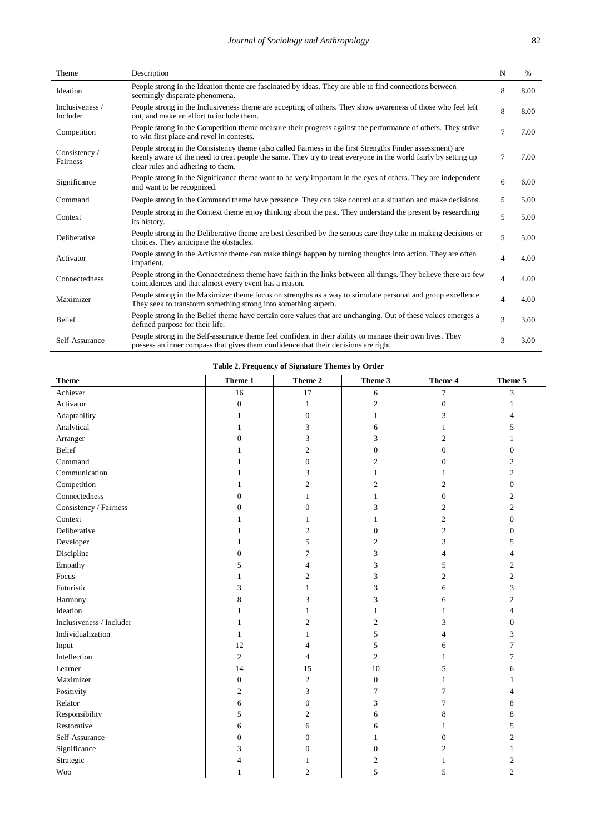| Theme                       | Description                                                                                                                                                                                                                                                        | N                        | $\%$ |
|-----------------------------|--------------------------------------------------------------------------------------------------------------------------------------------------------------------------------------------------------------------------------------------------------------------|--------------------------|------|
| Ideation                    | People strong in the Ideation theme are fascinated by ideas. They are able to find connections between<br>seemingly disparate phenomena.                                                                                                                           | 8                        | 8.00 |
| Inclusiveness /<br>Includer | People strong in the Inclusiveness theme are accepting of others. They show awareness of those who feel left<br>out, and make an effort to include them.                                                                                                           | 8                        | 8.00 |
| Competition                 | People strong in the Competition theme measure their progress against the performance of others. They strive<br>to win first place and revel in contests.                                                                                                          | $\overline{7}$           | 7.00 |
| Consistency /<br>Fairness   | People strong in the Consistency theme (also called Fairness in the first Strengths Finder assessment) are<br>keenly aware of the need to treat people the same. They try to treat everyone in the world fairly by setting up<br>clear rules and adhering to them. | $\overline{7}$           | 7.00 |
| Significance                | People strong in the Significance theme want to be very important in the eyes of others. They are independent<br>and want to be recognized.                                                                                                                        | 6                        | 6.00 |
| Command                     | People strong in the Command theme have presence. They can take control of a situation and make decisions.                                                                                                                                                         | 5                        | 5.00 |
| Context                     | People strong in the Context theme enjoy thinking about the past. They understand the present by researching<br>its history.                                                                                                                                       | 5                        | 5.00 |
| Deliberative                | People strong in the Deliberative theme are best described by the serious care they take in making decisions or<br>choices. They anticipate the obstacles.                                                                                                         | 5                        | 5.00 |
| Activator                   | People strong in the Activator theme can make things happen by turning thoughts into action. They are often<br>impatient.                                                                                                                                          | $\Delta$                 | 4.00 |
| Connectedness               | People strong in the Connectedness theme have faith in the links between all things. They believe there are few<br>coincidences and that almost every event has a reason.                                                                                          | $\overline{\mathcal{A}}$ | 4.00 |
| Maximizer                   | People strong in the Maximizer theme focus on strengths as a way to stimulate personal and group excellence.<br>They seek to transform something strong into something superb.                                                                                     | $\overline{\mathcal{A}}$ | 4.00 |
| <b>Belief</b>               | People strong in the Belief theme have certain core values that are unchanging. Out of these values emerges a<br>defined purpose for their life.                                                                                                                   | 3                        | 3.00 |
| Self-Assurance              | People strong in the Self-assurance theme feel confident in their ability to manage their own lives. They<br>possess an inner compass that gives them confidence that their decisions are right.                                                                   | 3                        | 3.00 |

| Table 2. Frequency of Signature Themes by Order |  |  |  |
|-------------------------------------------------|--|--|--|
|-------------------------------------------------|--|--|--|

<span id="page-2-0"></span>

| <b>Theme</b>             | Theme 1          | Theme 2          | Theme 3          | Theme 4          | Theme 5          |
|--------------------------|------------------|------------------|------------------|------------------|------------------|
| Achiever                 | 16               | 17               | 6                | $\overline{7}$   | 3                |
| Activator                | $\boldsymbol{0}$ | 1                | $\overline{c}$   | $\boldsymbol{0}$ | -1               |
| Adaptability             | 1                | $\boldsymbol{0}$ | 1                | 3                | $\overline{4}$   |
| Analytical               | 1                | 3                | 6                | 1                | 5                |
| Arranger                 | $\boldsymbol{0}$ | 3                | 3                | $\overline{c}$   | 1                |
| Belief                   | 1                | $\overline{c}$   | $\boldsymbol{0}$ | $\boldsymbol{0}$ | $\overline{0}$   |
| Command                  |                  | $\boldsymbol{0}$ | $\overline{c}$   | $\boldsymbol{0}$ | $\mathfrak{2}$   |
| Communication            |                  | 3                | 1                | 1                | $\overline{2}$   |
| Competition              | 1                | $\mathfrak{2}$   | $\overline{c}$   | $\mathfrak{2}$   | $\boldsymbol{0}$ |
| Connectedness            | $\Omega$         | 1                | 1                | $\overline{0}$   | $\mathfrak{2}$   |
| Consistency / Fairness   | $\mathbf{0}$     | $\overline{0}$   | 3                | $\mathfrak{2}$   | $\overline{2}$   |
| Context                  | 1                | 1                | 1                | $\mathfrak{2}$   | $\overline{0}$   |
| Deliberative             |                  | $\boldsymbol{2}$ | $\boldsymbol{0}$ | $\sqrt{2}$       | $\mathbf{0}$     |
| Developer                |                  | 5                | $\overline{c}$   | 3                | 5                |
| Discipline               | $\mathbf{0}$     | 7                | 3                | $\overline{4}$   | $\overline{4}$   |
| Empathy                  | 5                | 4                | 3                | 5                | $\mathfrak{2}$   |
| Focus                    | 1                | $\overline{c}$   | 3                | $\mathfrak{2}$   | $\mathfrak{2}$   |
| Futuristic               | 3                | 1                | 3                | 6                | 3                |
| Harmony                  | $\,$ 8 $\,$      | 3                | 3                | 6                | $\mathfrak{2}$   |
| Ideation                 |                  | 1                | 1                | $\mathbf{1}$     | $\overline{4}$   |
| Inclusiveness / Includer | 1                | $\overline{c}$   | $\overline{c}$   | 3                | $\boldsymbol{0}$ |
| Individualization        | 1                | 1                | 5                | $\overline{4}$   | 3                |
| Input                    | 12               | 4                | 5                | 6                | $\overline{7}$   |
| Intellection             | $\mathfrak{2}$   | 4                | $\overline{c}$   | 1                | 7                |
| Learner                  | 14               | 15               | 10               | 5                | 6                |
| Maximizer                | $\boldsymbol{0}$ | $\mathbf{2}$     | $\boldsymbol{0}$ | $\mathbf{1}$     | 1                |
| Positivity               | $\overline{c}$   | 3                | 7                | 7                | $\overline{4}$   |
| Relator                  | 6                | $\boldsymbol{0}$ | 3                | 7                | 8                |
| Responsibility           | 5                | $\overline{c}$   | 6                | 8                | 8                |
| Restorative              | 6                | 6                | 6                | 1                | 5                |
| Self-Assurance           | $\overline{0}$   | $\overline{0}$   | 1                | $\mathbf{0}$     | $\mathfrak{2}$   |
| Significance             | 3                | $\overline{0}$   | $\boldsymbol{0}$ | $\overline{c}$   | 1                |
| Strategic                |                  |                  | $\mathfrak{2}$   | $\mathbf{1}$     | $\mathfrak{2}$   |
| $\mathbf{W}\mathbf{oo}$  |                  | $\overline{2}$   | 5                | 5                | $\overline{2}$   |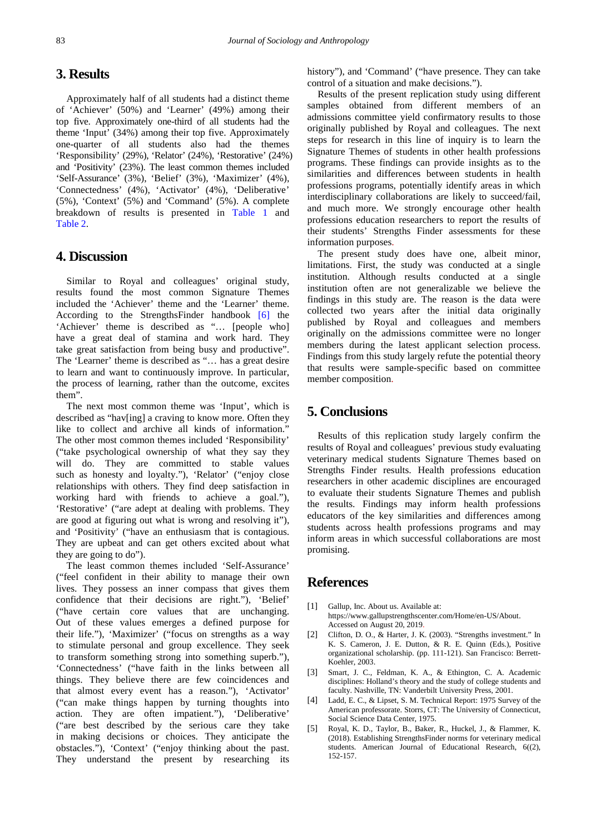## **3. Results**

Approximately half of all students had a distinct theme of 'Achiever' (50%) and 'Learner' (49%) among their top five. Approximately one-third of all students had the theme 'Input' (34%) among their top five. Approximately one-quarter of all students also had the themes 'Responsibility' (29%), 'Relator' (24%), 'Restorative' (24%) and 'Positivity' (23%). The least common themes included 'Self-Assurance' (3%), 'Belief' (3%), 'Maximizer' (4%), 'Connectedness' (4%), 'Activator' (4%), 'Deliberative' (5%), 'Context' (5%) and 'Command' (5%). A complete breakdown of results is presented in [Table 1](#page-1-0) and [Table 2.](#page-2-0)

## **4. Discussion**

Similar to Royal and colleagues' original study, results found the most common Signature Themes included the 'Achiever' theme and the 'Learner' theme. According to the StrengthsFinder handbook [\[6\]](#page-4-0) the 'Achiever' theme is described as "… [people who] have a great deal of stamina and work hard. They take great satisfaction from being busy and productive". The 'Learner' theme is described as "… has a great desire to learn and want to continuously improve. In particular, the process of learning, rather than the outcome, excites them".

The next most common theme was 'Input', which is described as "hav[ing] a craving to know more. Often they like to collect and archive all kinds of information." The other most common themes included 'Responsibility' ("take psychological ownership of what they say they will do. They are committed to stable values such as honesty and loyalty."), 'Relator' ("enjoy close relationships with others. They find deep satisfaction in working hard with friends to achieve a goal."), 'Restorative' ("are adept at dealing with problems. They are good at figuring out what is wrong and resolving it"), and 'Positivity' ("have an enthusiasm that is contagious. They are upbeat and can get others excited about what they are going to do").

The least common themes included 'Self-Assurance' ("feel confident in their ability to manage their own lives. They possess an inner compass that gives them confidence that their decisions are right."), 'Belief' ("have certain core values that are unchanging. Out of these values emerges a defined purpose for their life."), 'Maximizer' ("focus on strengths as a way to stimulate personal and group excellence. They seek to transform something strong into something superb."), 'Connectedness' ("have faith in the links between all things. They believe there are few coincidences and that almost every event has a reason."), 'Activator' ("can make things happen by turning thoughts into action. They are often impatient."), 'Deliberative' ("are best described by the serious care they take in making decisions or choices. They anticipate the obstacles."), 'Context' ("enjoy thinking about the past. They understand the present by researching its history"), and 'Command' ("have presence. They can take control of a situation and make decisions.").

Results of the present replication study using different samples obtained from different members of an admissions committee yield confirmatory results to those originally published by Royal and colleagues. The next steps for research in this line of inquiry is to learn the Signature Themes of students in other health professions programs. These findings can provide insights as to the similarities and differences between students in health professions programs, potentially identify areas in which interdisciplinary collaborations are likely to succeed/fail, and much more. We strongly encourage other health professions education researchers to report the results of their students' Strengths Finder assessments for these information purposes.

The present study does have one, albeit minor, limitations. First, the study was conducted at a single institution. Although results conducted at a single institution often are not generalizable we believe the findings in this study are. The reason is the data were collected two years after the initial data originally published by Royal and colleagues and members originally on the admissions committee were no longer members during the latest applicant selection process. Findings from this study largely refute the potential theory that results were sample-specific based on committee member composition.

## **5. Conclusions**

Results of this replication study largely confirm the results of Royal and colleagues' previous study evaluating veterinary medical students Signature Themes based on Strengths Finder results. Health professions education researchers in other academic disciplines are encouraged to evaluate their students Signature Themes and publish the results. Findings may inform health professions educators of the key similarities and differences among students across health professions programs and may inform areas in which successful collaborations are most promising.

## **References**

- <span id="page-3-0"></span>[1] Gallup, Inc. About us. Available at: https://www.gallupstrengthscenter.com/Home/en-US/About. Accessed on August 20, 2019.
- <span id="page-3-1"></span>[2] Clifton, D. O., & Harter, J. K. (2003). "Strengths investment." In K. S. Cameron, J. E. Dutton, & R. E. Quinn (Eds.), Positive organizational scholarship. (pp. 111-121). San Francisco: Berrett-Koehler, 2003.
- <span id="page-3-2"></span>[3] Smart, J. C., Feldman, K. A., & Ethington, C. A. Academic disciplines: Holland's theory and the study of college students and faculty. Nashville, TN: Vanderbilt University Press, 2001.
- <span id="page-3-3"></span>[4] Ladd, E. C., & Lipset, S. M. Technical Report: 1975 Survey of the American professorate. Storrs, CT: The University of Connecticut, Social Science Data Center, 1975.
- <span id="page-3-4"></span>[5] Royal, K. D., Taylor, B., Baker, R., Huckel, J., & Flammer, K. (2018). Establishing StrengthsFinder norms for veterinary medical students. American Journal of Educational Research, 6((2), 152-157.